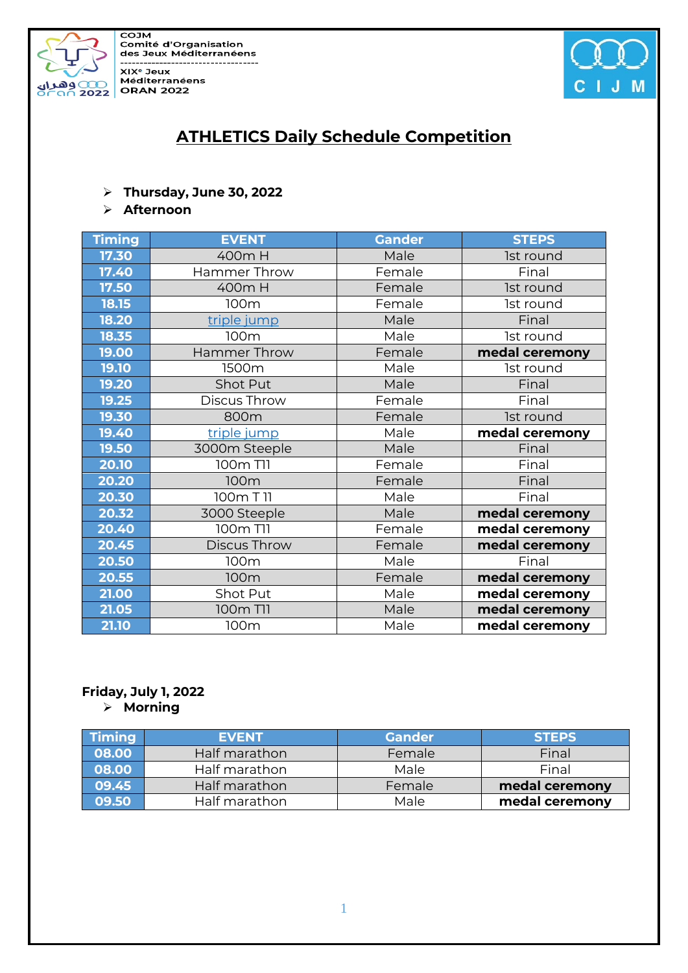

COJM **Comité d'Organisation** des Jeux Méditerranéens ................... XIX<sup>e</sup> Jeux Méditerranéens



# **ATHLETICS Daily Schedule Competition**

#### ➢ **Thursday, June 30, 2022**

#### ➢ **Afternoon**

| <b>Timing</b><br><b>EVENT</b><br><b>Gander</b> | <b>STEPS</b>   |
|------------------------------------------------|----------------|
| 17.30<br>Male<br>400m H                        | Ist round      |
| Female<br>17.40<br>Hammer Throw                | Final          |
| 17.50<br>Female<br>400m H                      | Ist round      |
| 18.15<br>Female<br>100m                        | Ist round      |
| Male<br>18.20<br>triple jump                   | Final          |
| Male<br>18.35<br>100m                          | 1st round      |
| 19.00<br>Female<br><b>Hammer Throw</b>         | medal ceremony |
| 19.10<br>Male<br>1500m                         | 1st round      |
| 19.20<br>Shot Put<br>Male                      | Final          |
| 19.25<br>Discus Throw<br>Female                | Final          |
| 19.30<br>Female<br>800m                        | 1st round      |
| Male<br>19.40<br>triple jump                   | medal ceremony |
| 19.50<br>3000m Steeple<br>Male                 | Final          |
| 100m T11<br>20.10<br>Female                    | Final          |
| 20.20<br>Female<br>100m                        | Final          |
| Male<br>20.30<br>100m T 11                     | Final          |
| Male<br>20.32<br>3000 Steeple                  | medal ceremony |
| 20.40<br>100m T11<br>Female                    | medal ceremony |
| Female<br>20.45<br>Discus Throw                | medal ceremony |
| Male<br>20.50<br>100m                          | Final          |
| 20.55<br>Female<br>100m                        | medal ceremony |
| 21.00<br>Male<br>Shot Put                      | medal ceremony |
| 21.05<br>Male<br>100m T11                      | medal ceremony |
| 21.10<br>100m<br>Male                          | medal ceremony |

# **Friday, July 1, 2022**

➢ **Morning**

| <b>Timing</b> | <b>EVENT</b>  | <b>Gander</b> | <b>STEPS</b>   |
|---------------|---------------|---------------|----------------|
| 08.00         | Half marathon | Female        | Final          |
| 08.00         | Half marathon | Male          | Final          |
| 09.45         | Half marathon | Female        | medal ceremony |
| 09.50         | Half marathon | Male          | medal ceremony |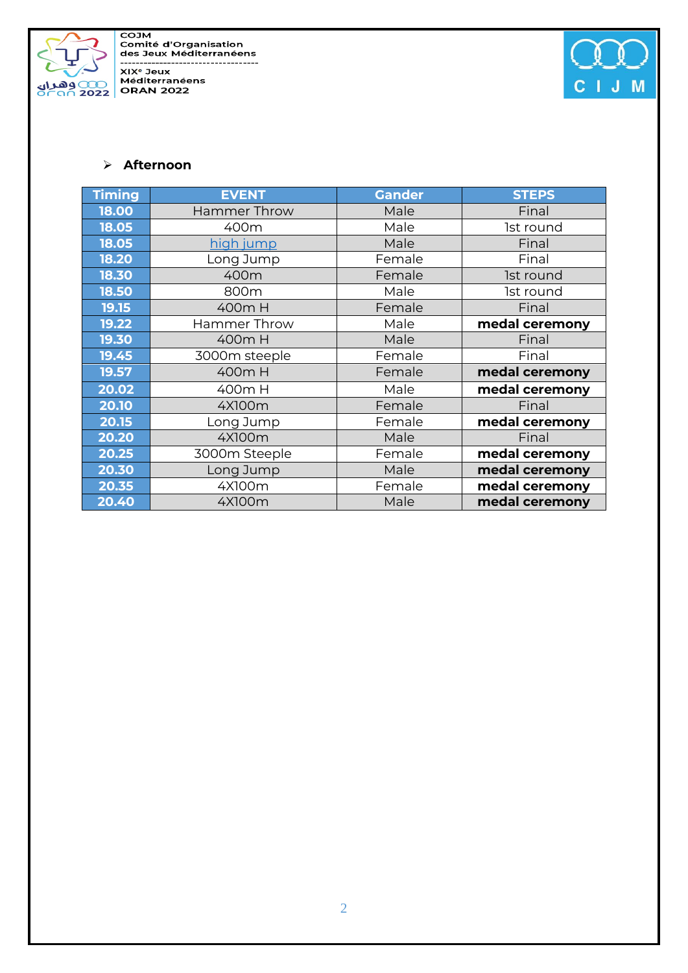

COJM<br>Comité d'Organisation<br>des Jeux Méditerranéens ------------------------------------



#### ➢ **Afternoon**

| <b>Timing</b> | <b>EVENT</b>        | <b>Gander</b> | <b>STEPS</b>   |
|---------------|---------------------|---------------|----------------|
| 18.00         | <b>Hammer Throw</b> | Male          | Final          |
| 18.05         | 400m                | Male          | Ist round      |
| 18.05         | high jump           | Male          | Final          |
| 18.20         | Long Jump           | Female        | Final          |
| 18.30         | 400m                | Female        | Ist round      |
| 18.50         | 800m                | Male          | Ist round      |
| 19.15         | 400m H              | Female        | Final          |
| 19.22         | <b>Hammer Throw</b> | Male          | medal ceremony |
| 19.30         | 400m H              | Male          | Final          |
| 19.45         | 3000m steeple       | Female        | Final          |
| 19.57         | 400m H              | Female        | medal ceremony |
| 20.02         | 400m H              | Male          | medal ceremony |
| 20.10         | 4X100m              | Female        | Final          |
| 20.15         | Long Jump           | Female        | medal ceremony |
| 20.20         | 4X100m              | Male          | Final          |
| 20.25         | 3000m Steeple       | Female        | medal ceremony |
| 20.30         | Long Jump           | Male          | medal ceremony |
| 20.35         | 4X100m              | Female        | medal ceremony |
| 20.40         | 4X100m              | Male          | medal ceremony |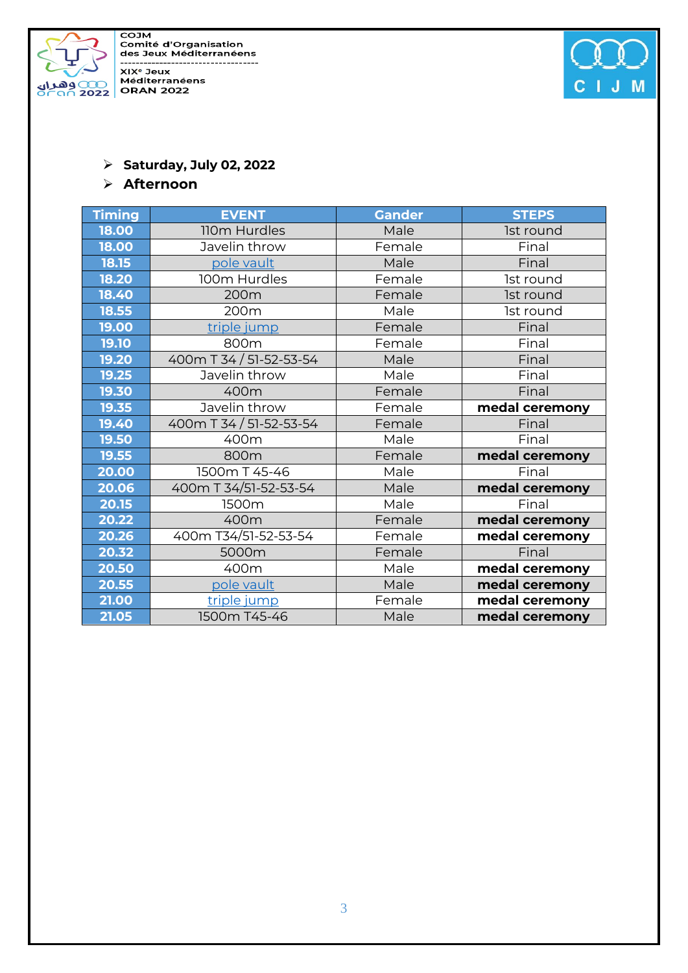

COJM<br>Comité d'Organisation<br>des Jeux Méditerranéens -----------------------------------



## ➢ **Saturday, July 02, 2022**

#### ➢ **Afternoon**

| <b>Timing</b> | <b>EVENT</b>            | <b>Gander</b> | <b>STEPS</b>   |
|---------------|-------------------------|---------------|----------------|
| 18.00         | 110m Hurdles            | Male          | 1st round      |
| 18.00         | Javelin throw           | Female        | Final          |
| 18.15         | pole vault              | Male          | Final          |
| 18.20         | 100m Hurdles            | Female        | Ist round      |
| 18.40         | 200m                    | Female        | 1st round      |
| 18.55         | 200m                    | Male          | 1st round      |
| 19.00         | triple jump             | Female        | Final          |
| 19.10         | 800m                    | Female        | Final          |
| 19.20         | 400m T 34 / 51-52-53-54 | Male          | Final          |
| 19.25         | Javelin throw           | Male          | Final          |
| 19.30         | 400m                    | Female        | Final          |
| 19.35         | Javelin throw           | Female        | medal ceremony |
| 19.40         | 400m T 34 / 51-52-53-54 | Female        | Final          |
| 19.50         | 400m                    | Male          | Final          |
| 19.55         | 800m                    | Female        | medal ceremony |
| 20.00         | 1500m T 45-46           | Male          | Final          |
| 20.06         | 400m T 34/51-52-53-54   | Male          | medal ceremony |
| 20.15         | 1500m                   | Male          | Final          |
| 20.22         | 400m                    | Female        | medal ceremony |
| 20.26         | 400m T34/51-52-53-54    | Female        | medal ceremony |
| 20.32         | 5000m                   | Female        | Final          |
| 20.50         | 400m                    | Male          | medal ceremony |
| 20.55         | pole vault              | Male          | medal ceremony |
| 21.00         | triple jump             | Female        | medal ceremony |
| 21.05         | 1500m T45-46            | Male          | medal ceremony |